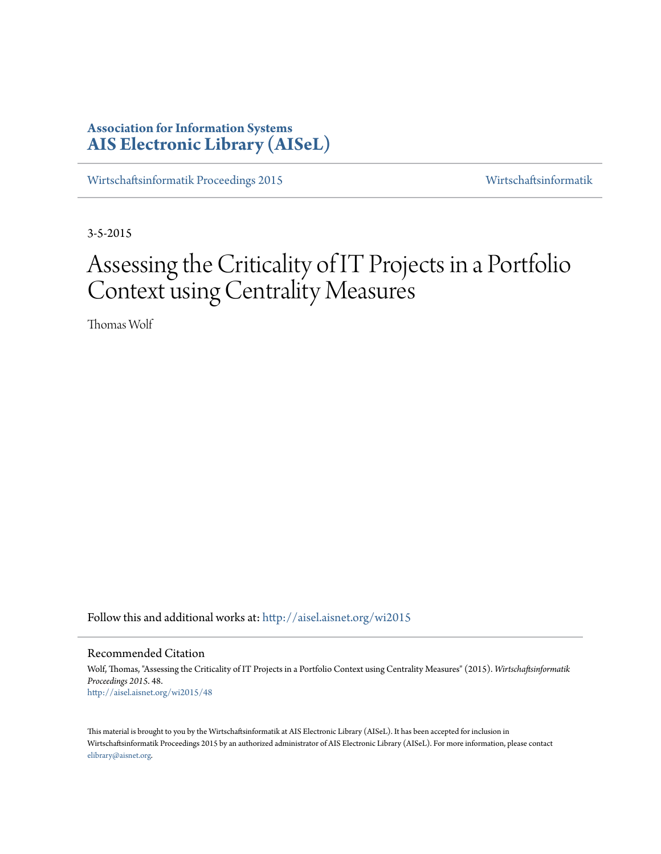# **Association for Information Systems [AIS Electronic Library \(AISeL\)](http://aisel.aisnet.org?utm_source=aisel.aisnet.org%2Fwi2015%2F48&utm_medium=PDF&utm_campaign=PDFCoverPages)**

[Wirtschaftsinformatik Proceedings 2015](http://aisel.aisnet.org/wi2015?utm_source=aisel.aisnet.org%2Fwi2015%2F48&utm_medium=PDF&utm_campaign=PDFCoverPages) [Wirtschaftsinformatik](http://aisel.aisnet.org/wi?utm_source=aisel.aisnet.org%2Fwi2015%2F48&utm_medium=PDF&utm_campaign=PDFCoverPages)

3-5-2015

# Assessing the Criticality of IT Projects in a Portfolio Context using Centrality Measures

Thomas Wolf

Follow this and additional works at: [http://aisel.aisnet.org/wi2015](http://aisel.aisnet.org/wi2015?utm_source=aisel.aisnet.org%2Fwi2015%2F48&utm_medium=PDF&utm_campaign=PDFCoverPages)

#### Recommended Citation

Wolf, Thomas, "Assessing the Criticality of IT Projects in a Portfolio Context using Centrality Measures" (2015). *Wirtschaftsinformatik Proceedings 2015*. 48. [http://aisel.aisnet.org/wi2015/48](http://aisel.aisnet.org/wi2015/48?utm_source=aisel.aisnet.org%2Fwi2015%2F48&utm_medium=PDF&utm_campaign=PDFCoverPages)

This material is brought to you by the Wirtschaftsinformatik at AIS Electronic Library (AISeL). It has been accepted for inclusion in Wirtschaftsinformatik Proceedings 2015 by an authorized administrator of AIS Electronic Library (AISeL). For more information, please contact [elibrary@aisnet.org.](mailto:elibrary@aisnet.org%3E)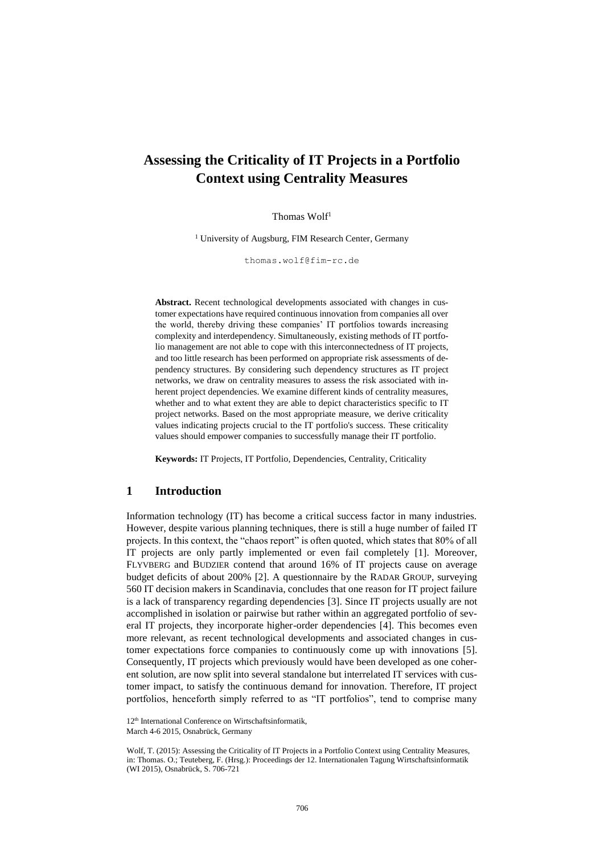# **Assessing the Criticality of IT Projects in a Portfolio Context using Centrality Measures**

#### Thomas Wolf<sup>1</sup>

<sup>1</sup> University of Augsburg, FIM Research Center, Germany

thomas.wolf@fim-rc.de

**Abstract.** Recent technological developments associated with changes in customer expectations have required continuous innovation from companies all over the world, thereby driving these companies' IT portfolios towards increasing complexity and interdependency. Simultaneously, existing methods of IT portfolio management are not able to cope with this interconnectedness of IT projects, and too little research has been performed on appropriate risk assessments of dependency structures. By considering such dependency structures as IT project networks, we draw on centrality measures to assess the risk associated with inherent project dependencies. We examine different kinds of centrality measures, whether and to what extent they are able to depict characteristics specific to IT project networks. Based on the most appropriate measure, we derive criticality values indicating projects crucial to the IT portfolio's success. These criticality values should empower companies to successfully manage their IT portfolio.

**Keywords:** IT Projects, IT Portfolio, Dependencies, Centrality, Criticality

## **1 Introduction**

Information technology (IT) has become a critical success factor in many industries. However, despite various planning techniques, there is still a huge number of failed IT projects. In this context, the "chaos report" is often quoted, which states that 80% of all IT projects are only partly implemented or even fail completely [1]. Moreover, FLYVBERG and BUDZIER contend that around 16% of IT projects cause on average budget deficits of about 200% [2]. A questionnaire by the RADAR GROUP, surveying 560 IT decision makers in Scandinavia, concludes that one reason for IT project failure is a lack of transparency regarding dependencies [3]. Since IT projects usually are not accomplished in isolation or pairwise but rather within an aggregated portfolio of several IT projects, they incorporate higher-order dependencies [4]. This becomes even more relevant, as recent technological developments and associated changes in customer expectations force companies to continuously come up with innovations [5]. Consequently, IT projects which previously would have been developed as one coherent solution, are now split into several standalone but interrelated IT services with customer impact, to satisfy the continuous demand for innovation. Therefore, IT project portfolios, henceforth simply referred to as "IT portfolios", tend to comprise many

12<sup>th</sup> International Conference on Wirtschaftsinformatik,

March 4-6 2015, Osnabrück, Germany

Wolf, T. (2015): Assessing the Criticality of IT Projects in a Portfolio Context using Centrality Measures, in: Thomas. O.; Teuteberg, F. (Hrsg.): Proceedings der 12. Internationalen Tagung Wirtschaftsinformatik (WI 2015), Osnabrück, S. 706-721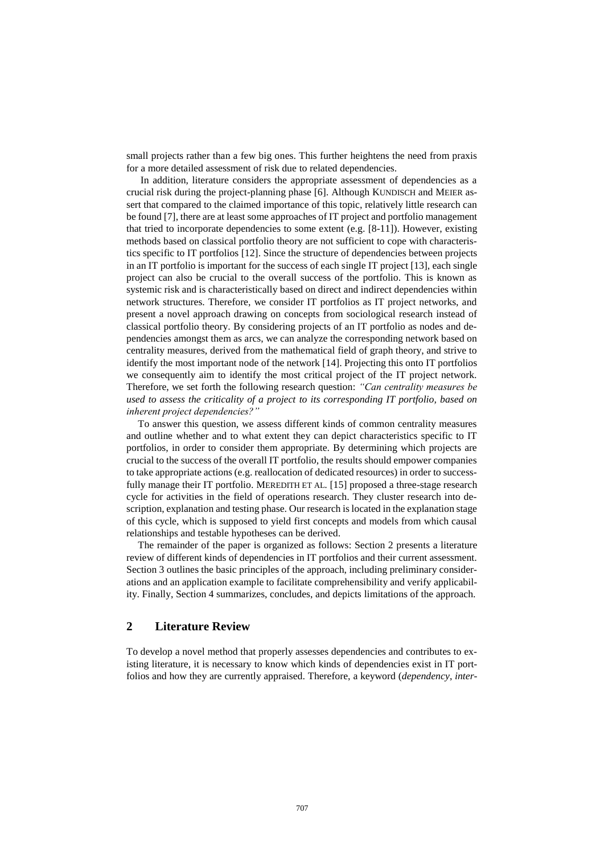small projects rather than a few big ones. This further heightens the need from praxis for a more detailed assessment of risk due to related dependencies.

In addition, literature considers the appropriate assessment of dependencies as a crucial risk during the project-planning phase [6]. Although KUNDISCH and MEIER assert that compared to the claimed importance of this topic, relatively little research can be found [7], there are at least some approaches of IT project and portfolio management that tried to incorporate dependencies to some extent (e.g. [8-11]). However, existing methods based on classical portfolio theory are not sufficient to cope with characteristics specific to IT portfolios [12]. Since the structure of dependencies between projects in an IT portfolio is important for the success of each single IT project [13], each single project can also be crucial to the overall success of the portfolio. This is known as systemic risk and is characteristically based on direct and indirect dependencies within network structures. Therefore, we consider IT portfolios as IT project networks, and present a novel approach drawing on concepts from sociological research instead of classical portfolio theory. By considering projects of an IT portfolio as nodes and dependencies amongst them as arcs, we can analyze the corresponding network based on centrality measures, derived from the mathematical field of graph theory, and strive to identify the most important node of the network [14]. Projecting this onto IT portfolios we consequently aim to identify the most critical project of the IT project network. Therefore, we set forth the following research question: *"Can centrality measures be used to assess the criticality of a project to its corresponding IT portfolio, based on inherent project dependencies?"*

To answer this question, we assess different kinds of common centrality measures and outline whether and to what extent they can depict characteristics specific to IT portfolios, in order to consider them appropriate. By determining which projects are crucial to the success of the overall IT portfolio, the results should empower companies to take appropriate actions (e.g. reallocation of dedicated resources) in order to successfully manage their IT portfolio. MEREDITH ET AL. [15] proposed a three-stage research cycle for activities in the field of operations research. They cluster research into description, explanation and testing phase. Our research is located in the explanation stage of this cycle, which is supposed to yield first concepts and models from which causal relationships and testable hypotheses can be derived.

The remainder of the paper is organized as follows: Section 2 presents a literature review of different kinds of dependencies in IT portfolios and their current assessment. Section 3 outlines the basic principles of the approach, including preliminary considerations and an application example to facilitate comprehensibility and verify applicability. Finally, Section 4 summarizes, concludes, and depicts limitations of the approach.

# **2 Literature Review**

To develop a novel method that properly assesses dependencies and contributes to existing literature, it is necessary to know which kinds of dependencies exist in IT portfolios and how they are currently appraised. Therefore, a keyword (*dependency*, *inter-*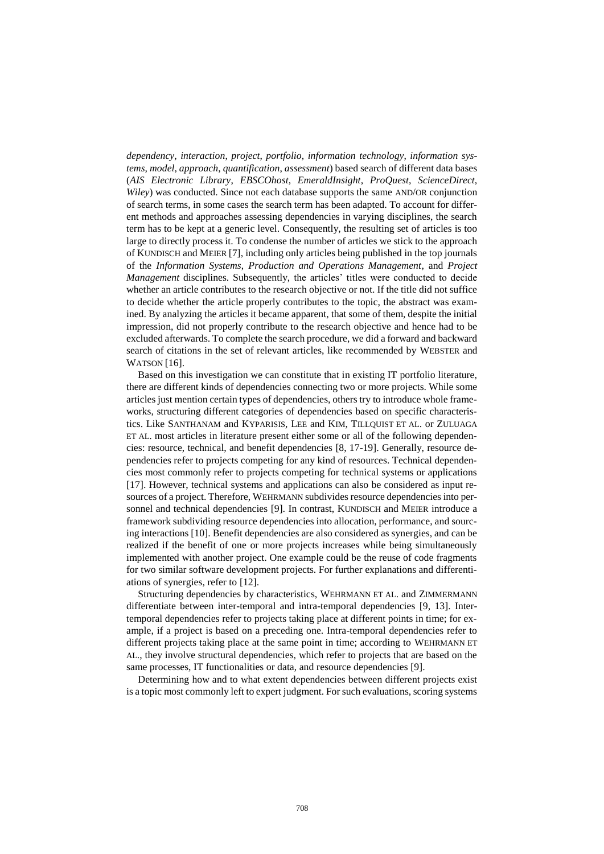*dependency*, *interaction*, *project*, *portfolio*, *information technology*, *information systems, model*, *approach*, *quantification*, *assessment*) based search of different data bases (*AIS Electronic Library*, *EBSCOhost*, *EmeraldInsight*, *ProQuest*, *ScienceDirect*, *Wiley*) was conducted. Since not each database supports the same AND/OR conjunction of search terms, in some cases the search term has been adapted. To account for different methods and approaches assessing dependencies in varying disciplines, the search term has to be kept at a generic level. Consequently, the resulting set of articles is too large to directly process it. To condense the number of articles we stick to the approach of KUNDISCH and MEIER [7], including only articles being published in the top journals of the *Information Systems*, *Production and Operations Management*, and *Project Management* disciplines. Subsequently, the articles' titles were conducted to decide whether an article contributes to the research objective or not. If the title did not suffice to decide whether the article properly contributes to the topic, the abstract was examined. By analyzing the articles it became apparent, that some of them, despite the initial impression, did not properly contribute to the research objective and hence had to be excluded afterwards. To complete the search procedure, we did a forward and backward search of citations in the set of relevant articles, like recommended by WEBSTER and WATSON [16].

Based on this investigation we can constitute that in existing IT portfolio literature, there are different kinds of dependencies connecting two or more projects. While some articles just mention certain types of dependencies, others try to introduce whole frameworks, structuring different categories of dependencies based on specific characteristics. Like SANTHANAM and KYPARISIS, LEE and KIM, TILLQUIST ET AL. or ZULUAGA ET AL. most articles in literature present either some or all of the following dependencies: resource, technical, and benefit dependencies [8, 17-19]. Generally, resource dependencies refer to projects competing for any kind of resources. Technical dependencies most commonly refer to projects competing for technical systems or applications [17]. However, technical systems and applications can also be considered as input resources of a project. Therefore, WEHRMANN subdivides resource dependencies into personnel and technical dependencies [9]. In contrast, KUNDISCH and MEIER introduce a framework subdividing resource dependencies into allocation, performance, and sourcing interactions [10]. Benefit dependencies are also considered as synergies, and can be realized if the benefit of one or more projects increases while being simultaneously implemented with another project. One example could be the reuse of code fragments for two similar software development projects. For further explanations and differentiations of synergies, refer to [12].

Structuring dependencies by characteristics, WEHRMANN ET AL. and ZIMMERMANN differentiate between inter-temporal and intra-temporal dependencies [9, 13]. Intertemporal dependencies refer to projects taking place at different points in time; for example, if a project is based on a preceding one. Intra-temporal dependencies refer to different projects taking place at the same point in time; according to WEHRMANN ET AL., they involve structural dependencies, which refer to projects that are based on the same processes, IT functionalities or data, and resource dependencies [9].

Determining how and to what extent dependencies between different projects exist is a topic most commonly left to expert judgment. For such evaluations, scoring systems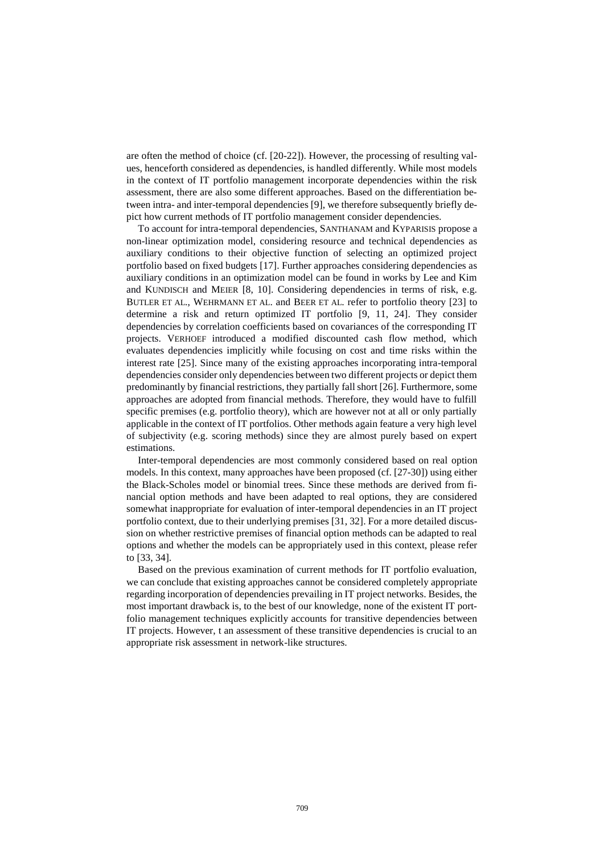are often the method of choice (cf. [20-22]). However, the processing of resulting values, henceforth considered as dependencies, is handled differently. While most models in the context of IT portfolio management incorporate dependencies within the risk assessment, there are also some different approaches. Based on the differentiation between intra- and inter-temporal dependencies [9], we therefore subsequently briefly depict how current methods of IT portfolio management consider dependencies.

To account for intra-temporal dependencies, SANTHANAM and KYPARISIS propose a non-linear optimization model, considering resource and technical dependencies as auxiliary conditions to their objective function of selecting an optimized project portfolio based on fixed budgets [17]. Further approaches considering dependencies as auxiliary conditions in an optimization model can be found in works by Lee and Kim and KUNDISCH and MEIER [8, 10]. Considering dependencies in terms of risk, e.g. BUTLER ET AL., WEHRMANN ET AL. and BEER ET AL. refer to portfolio theory [23] to determine a risk and return optimized IT portfolio [9, 11, 24]. They consider dependencies by correlation coefficients based on covariances of the corresponding IT projects. VERHOEF introduced a modified discounted cash flow method, which evaluates dependencies implicitly while focusing on cost and time risks within the interest rate [25]. Since many of the existing approaches incorporating intra-temporal dependencies consider only dependencies between two different projects or depict them predominantly by financial restrictions, they partially fall short [26]. Furthermore, some approaches are adopted from financial methods. Therefore, they would have to fulfill specific premises (e.g. portfolio theory), which are however not at all or only partially applicable in the context of IT portfolios. Other methods again feature a very high level of subjectivity (e.g. scoring methods) since they are almost purely based on expert estimations.

Inter-temporal dependencies are most commonly considered based on real option models. In this context, many approaches have been proposed (cf. [27-30]) using either the Black-Scholes model or binomial trees. Since these methods are derived from financial option methods and have been adapted to real options, they are considered somewhat inappropriate for evaluation of inter-temporal dependencies in an IT project portfolio context, due to their underlying premises [31, 32]. For a more detailed discussion on whether restrictive premises of financial option methods can be adapted to real options and whether the models can be appropriately used in this context, please refer to [33, 34].

Based on the previous examination of current methods for IT portfolio evaluation, we can conclude that existing approaches cannot be considered completely appropriate regarding incorporation of dependencies prevailing in IT project networks. Besides, the most important drawback is, to the best of our knowledge, none of the existent IT portfolio management techniques explicitly accounts for transitive dependencies between IT projects. However, t an assessment of these transitive dependencies is crucial to an appropriate risk assessment in network-like structures.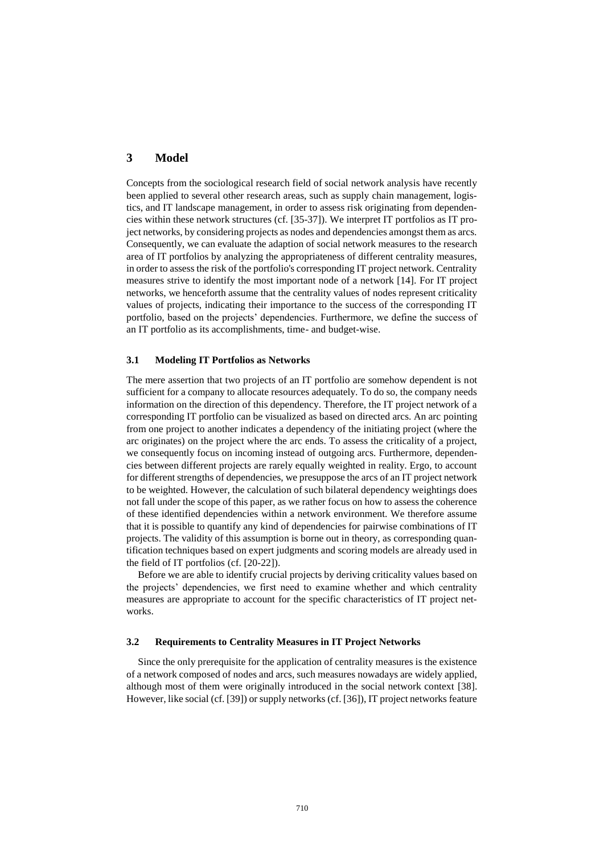## **3 Model**

Concepts from the sociological research field of social network analysis have recently been applied to several other research areas, such as supply chain management, logistics, and IT landscape management, in order to assess risk originating from dependencies within these network structures (cf. [35-37]). We interpret IT portfolios as IT project networks, by considering projects as nodes and dependencies amongst them as arcs. Consequently, we can evaluate the adaption of social network measures to the research area of IT portfolios by analyzing the appropriateness of different centrality measures, in order to assess the risk of the portfolio's corresponding IT project network. Centrality measures strive to identify the most important node of a network [14]. For IT project networks, we henceforth assume that the centrality values of nodes represent criticality values of projects, indicating their importance to the success of the corresponding IT portfolio, based on the projects' dependencies. Furthermore, we define the success of an IT portfolio as its accomplishments, time- and budget-wise.

#### **3.1 Modeling IT Portfolios as Networks**

The mere assertion that two projects of an IT portfolio are somehow dependent is not sufficient for a company to allocate resources adequately. To do so, the company needs information on the direction of this dependency. Therefore, the IT project network of a corresponding IT portfolio can be visualized as based on directed arcs. An arc pointing from one project to another indicates a dependency of the initiating project (where the arc originates) on the project where the arc ends. To assess the criticality of a project, we consequently focus on incoming instead of outgoing arcs. Furthermore, dependencies between different projects are rarely equally weighted in reality. Ergo, to account for different strengths of dependencies, we presuppose the arcs of an IT project network to be weighted. However, the calculation of such bilateral dependency weightings does not fall under the scope of this paper, as we rather focus on how to assess the coherence of these identified dependencies within a network environment. We therefore assume that it is possible to quantify any kind of dependencies for pairwise combinations of IT projects. The validity of this assumption is borne out in theory, as corresponding quantification techniques based on expert judgments and scoring models are already used in the field of IT portfolios (cf. [20-22]).

Before we are able to identify crucial projects by deriving criticality values based on the projects' dependencies, we first need to examine whether and which centrality measures are appropriate to account for the specific characteristics of IT project networks.

#### **3.2 Requirements to Centrality Measures in IT Project Networks**

Since the only prerequisite for the application of centrality measures is the existence of a network composed of nodes and arcs, such measures nowadays are widely applied, although most of them were originally introduced in the social network context [38]. However, like social (cf. [39]) or supply networks (cf. [36]), IT project networks feature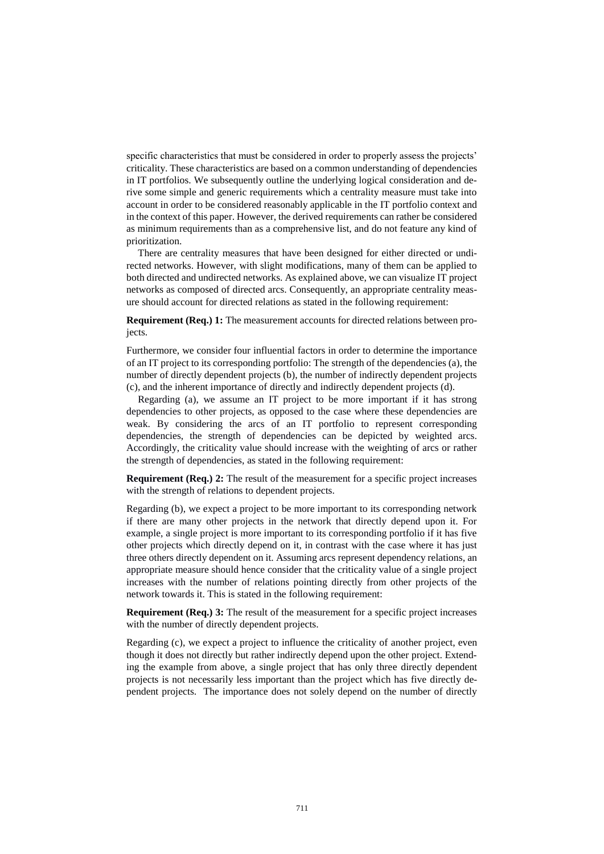specific characteristics that must be considered in order to properly assess the projects' criticality. These characteristics are based on a common understanding of dependencies in IT portfolios. We subsequently outline the underlying logical consideration and derive some simple and generic requirements which a centrality measure must take into account in order to be considered reasonably applicable in the IT portfolio context and in the context of this paper. However, the derived requirements can rather be considered as minimum requirements than as a comprehensive list, and do not feature any kind of prioritization.

There are centrality measures that have been designed for either directed or undirected networks. However, with slight modifications, many of them can be applied to both directed and undirected networks. As explained above, we can visualize IT project networks as composed of directed arcs. Consequently, an appropriate centrality measure should account for directed relations as stated in the following requirement:

**Requirement (Req.) 1:** The measurement accounts for directed relations between projects.

Furthermore, we consider four influential factors in order to determine the importance of an IT project to its corresponding portfolio: The strength of the dependencies (a), the number of directly dependent projects (b), the number of indirectly dependent projects (c), and the inherent importance of directly and indirectly dependent projects (d).

Regarding (a), we assume an IT project to be more important if it has strong dependencies to other projects, as opposed to the case where these dependencies are weak. By considering the arcs of an IT portfolio to represent corresponding dependencies, the strength of dependencies can be depicted by weighted arcs. Accordingly, the criticality value should increase with the weighting of arcs or rather the strength of dependencies, as stated in the following requirement:

**Requirement (Req.) 2:** The result of the measurement for a specific project increases with the strength of relations to dependent projects.

Regarding (b), we expect a project to be more important to its corresponding network if there are many other projects in the network that directly depend upon it. For example, a single project is more important to its corresponding portfolio if it has five other projects which directly depend on it, in contrast with the case where it has just three others directly dependent on it. Assuming arcs represent dependency relations, an appropriate measure should hence consider that the criticality value of a single project increases with the number of relations pointing directly from other projects of the network towards it. This is stated in the following requirement:

**Requirement (Req.) 3:** The result of the measurement for a specific project increases with the number of directly dependent projects.

Regarding (c), we expect a project to influence the criticality of another project, even though it does not directly but rather indirectly depend upon the other project. Extending the example from above, a single project that has only three directly dependent projects is not necessarily less important than the project which has five directly dependent projects. The importance does not solely depend on the number of directly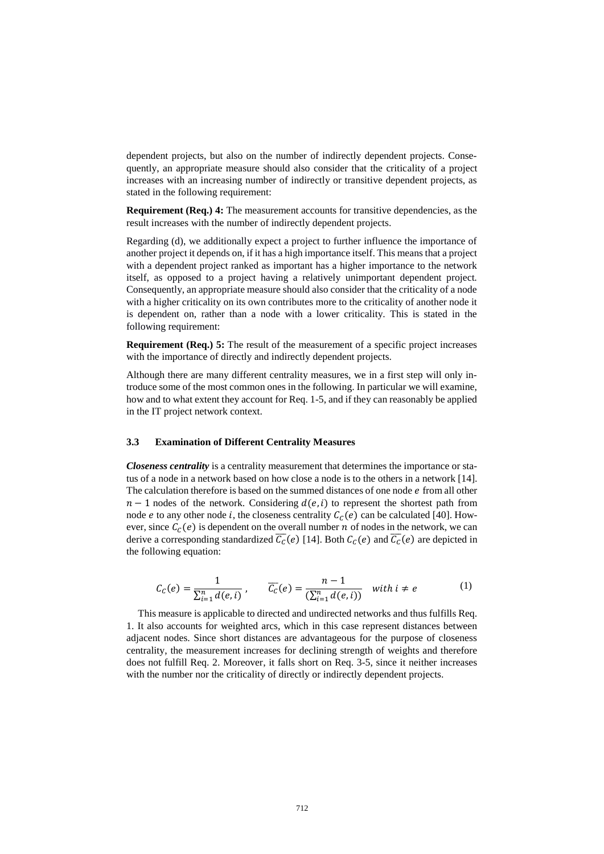dependent projects, but also on the number of indirectly dependent projects. Consequently, an appropriate measure should also consider that the criticality of a project increases with an increasing number of indirectly or transitive dependent projects, as stated in the following requirement:

**Requirement (Req.) 4:** The measurement accounts for transitive dependencies, as the result increases with the number of indirectly dependent projects.

Regarding (d), we additionally expect a project to further influence the importance of another project it depends on, if it has a high importance itself. This means that a project with a dependent project ranked as important has a higher importance to the network itself, as opposed to a project having a relatively unimportant dependent project. Consequently, an appropriate measure should also consider that the criticality of a node with a higher criticality on its own contributes more to the criticality of another node it is dependent on, rather than a node with a lower criticality. This is stated in the following requirement:

**Requirement (Req.) 5:** The result of the measurement of a specific project increases with the importance of directly and indirectly dependent projects.

Although there are many different centrality measures, we in a first step will only introduce some of the most common ones in the following. In particular we will examine, how and to what extent they account for Req. 1-5, and if they can reasonably be applied in the IT project network context.

#### **3.3 Examination of Different Centrality Measures**

*Closeness centrality* is a centrality measurement that determines the importance or status of a node in a network based on how close a node is to the others in a network [14]. The calculation therefore is based on the summed distances of one node  $e$  from all other  $n-1$  nodes of the network. Considering  $d(e, i)$  to represent the shortest path from node *e* to any other node *i*, the closeness centrality  $C_c(e)$  can be calculated [40]. However, since  $C_c(e)$  is dependent on the overall number *n* of nodes in the network, we can derive a corresponding standardized  $\overline{C_{C}}(e)$  [14]. Both  $C_{C}(e)$  and  $\overline{C_{C}}(e)$  are depicted in the following equation:

$$
C_C(e) = \frac{1}{\sum_{i=1}^n d(e,i)}, \qquad \overline{C_C}(e) = \frac{n-1}{(\sum_{i=1}^n d(e,i))} \quad \text{with } i \neq e \tag{1}
$$

This measure is applicable to directed and undirected networks and thus fulfills Req. 1. It also accounts for weighted arcs, which in this case represent distances between adjacent nodes. Since short distances are advantageous for the purpose of closeness centrality, the measurement increases for declining strength of weights and therefore does not fulfill Req. 2. Moreover, it falls short on Req. 3-5, since it neither increases with the number nor the criticality of directly or indirectly dependent projects.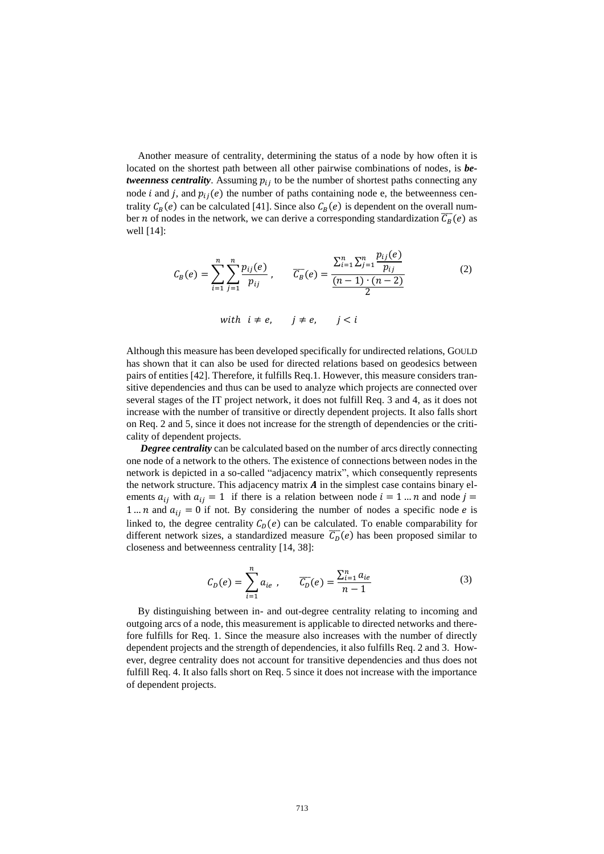Another measure of centrality, determining the status of a node by how often it is located on the shortest path between all other pairwise combinations of nodes, is *betweenness centrality*. Assuming  $p_{ij}$  to be the number of shortest paths connecting any node *i* and *j*, and  $p_{ij}(e)$  the number of paths containing node e, the betweenness centrality  $C_B(e)$  can be calculated [41]. Since also  $C_B(e)$  is dependent on the overall number *n* of nodes in the network, we can derive a corresponding standardization  $\overline{C_B}(e)$  as well [14]:

$$
C_B(e) = \sum_{i=1}^{n} \sum_{j=1}^{n} \frac{p_{ij}(e)}{p_{ij}}, \qquad \overline{C_B}(e) = \frac{\sum_{i=1}^{n} \sum_{j=1}^{n} \frac{p_{ij}(e)}{p_{ij}}}{\frac{(n-1) \cdot (n-2)}{2}}
$$
(2)  
with  $i \neq e$ ,  $j \neq e$ ,  $j < i$ 

Although this measure has been developed specifically for undirected relations, GOULD has shown that it can also be used for directed relations based on geodesics between pairs of entities [42]. Therefore, it fulfills Req.1. However, this measure considers transitive dependencies and thus can be used to analyze which projects are connected over several stages of the IT project network, it does not fulfill Req. 3 and 4, as it does not increase with the number of transitive or directly dependent projects. It also falls short on Req. 2 and 5, since it does not increase for the strength of dependencies or the criticality of dependent projects.

**Degree centrality** can be calculated based on the number of arcs directly connecting one node of a network to the others. The existence of connections between nodes in the network is depicted in a so-called "adjacency matrix", which consequently represents the network structure. This adjacency matrix  $\vec{A}$  in the simplest case contains binary elements  $a_{ij}$  with  $a_{ij} = 1$  if there is a relation between node  $i = 1 ... n$  and node  $j =$ 1 ... *n* and  $a_{ij} = 0$  if not. By considering the number of nodes a specific node *e* is linked to, the degree centrality  $C_p(e)$  can be calculated. To enable comparability for different network sizes, a standardized measure  $\overline{C_{D}}(e)$  has been proposed similar to closeness and betweenness centrality [14, 38]:

$$
C_D(e) = \sum_{i=1}^{n} a_{ie} , \qquad \overline{C_D}(e) = \frac{\sum_{i=1}^{n} a_{ie}}{n-1}
$$
 (3)

By distinguishing between in- and out-degree centrality relating to incoming and outgoing arcs of a node, this measurement is applicable to directed networks and therefore fulfills for Req. 1. Since the measure also increases with the number of directly dependent projects and the strength of dependencies, it also fulfills Req. 2 and 3. However, degree centrality does not account for transitive dependencies and thus does not fulfill Req. 4. It also falls short on Req. 5 since it does not increase with the importance of dependent projects.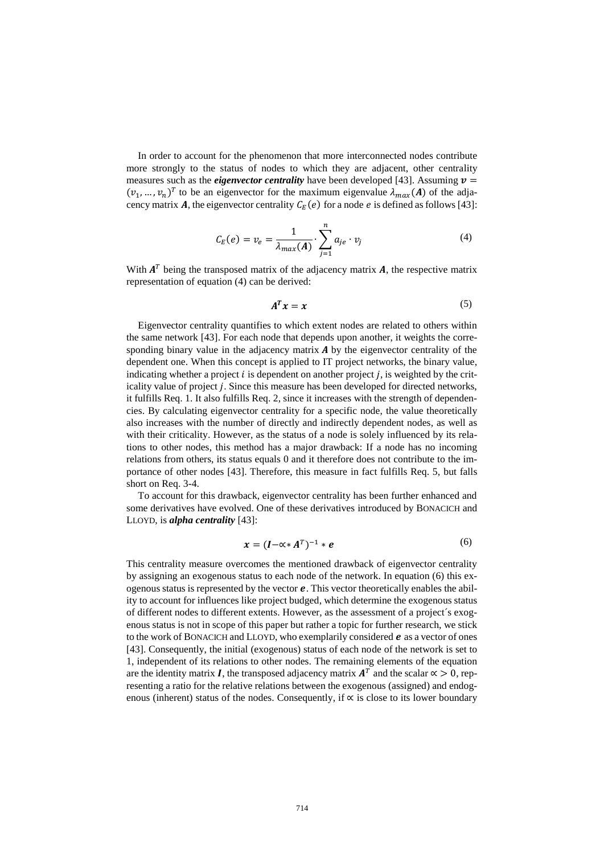In order to account for the phenomenon that more interconnected nodes contribute more strongly to the status of nodes to which they are adjacent, other centrality measures such as the *eigenvector centrality* have been developed [43]. Assuming  $v =$  $(v_1, ..., v_n)^T$  to be an eigenvector for the maximum eigenvalue  $\lambda_{max}(A)$  of the adjacency matrix **A**, the eigenvector centrality  $C_E(e)$  for a node e is defined as follows [43]:

$$
C_E(e) = v_e = \frac{1}{\lambda_{max}(A)} \cdot \sum_{j=1}^{n} a_{je} \cdot v_j
$$
 (4)

With  $A<sup>T</sup>$  being the transposed matrix of the adjacency matrix  $A$ , the respective matrix representation of equation (4) can be derived:

$$
A^T x = x \tag{5}
$$

Eigenvector centrality quantifies to which extent nodes are related to others within the same network [43]. For each node that depends upon another, it weights the corresponding binary value in the adjacency matrix  $\boldsymbol{A}$  by the eigenvector centrality of the dependent one. When this concept is applied to IT project networks, the binary value, indicating whether a project  $i$  is dependent on another project  $j$ , is weighted by the criticality value of project *j*. Since this measure has been developed for directed networks, it fulfills Req. 1. It also fulfills Req. 2, since it increases with the strength of dependencies. By calculating eigenvector centrality for a specific node, the value theoretically also increases with the number of directly and indirectly dependent nodes, as well as with their criticality. However, as the status of a node is solely influenced by its relations to other nodes, this method has a major drawback: If a node has no incoming relations from others, its status equals 0 and it therefore does not contribute to the importance of other nodes [43]. Therefore, this measure in fact fulfills Req. 5, but falls short on Req. 3-4.

To account for this drawback, eigenvector centrality has been further enhanced and some derivatives have evolved. One of these derivatives introduced by BONACICH and LLOYD, is *alpha centrality* [43]:

$$
\boldsymbol{x} = (\boldsymbol{I} - \boldsymbol{\alpha} \cdot \boldsymbol{A}^T)^{-1} \cdot \boldsymbol{e} \tag{6}
$$

This centrality measure overcomes the mentioned drawback of eigenvector centrality by assigning an exogenous status to each node of the network. In equation (6) this exogenous status is represented by the vector  $e$ . This vector theoretically enables the ability to account for influences like project budged, which determine the exogenous status of different nodes to different extents. However, as the assessment of a project´s exogenous status is not in scope of this paper but rather a topic for further research, we stick to the work of BONACICH and LLOYD, who exemplarily considered  $e$  as a vector of ones [43]. Consequently, the initial (exogenous) status of each node of the network is set to 1, independent of its relations to other nodes. The remaining elements of the equation are the identity matrix *I*, the transposed adjacency matrix  $A<sup>T</sup>$  and the scalar  $\alpha > 0$ , representing a ratio for the relative relations between the exogenous (assigned) and endogenous (inherent) status of the nodes. Consequently, if ∝ is close to its lower boundary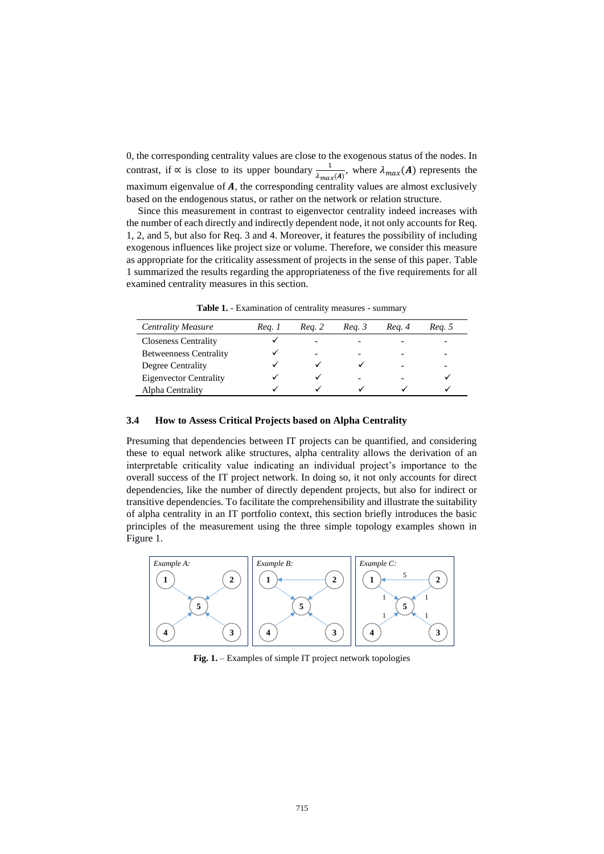0, the corresponding centrality values are close to the exogenous status of the nodes. In contrast, if  $\alpha$  is close to its upper boundary  $\frac{1}{\lambda_{max}(A)}$ , where  $\lambda_{max}(A)$  represents the maximum eigenvalue of  $A$ , the corresponding centrality values are almost exclusively based on the endogenous status, or rather on the network or relation structure.

Since this measurement in contrast to eigenvector centrality indeed increases with the number of each directly and indirectly dependent node, it not only accounts for Req. 1, 2, and 5, but also for Req. 3 and 4. Moreover, it features the possibility of including exogenous influences like project size or volume. Therefore, we consider this measure as appropriate for the criticality assessment of projects in the sense of this paper. Table 1 summarized the results regarding the appropriateness of the five requirements for all examined centrality measures in this section.

**Table 1.** - Examination of centrality measures - summary

| <b>Centrality Measure</b>     | Reg. 1 | Reg. 2 | Reg. 3 | Reg. 4 | Reg. 5 |
|-------------------------------|--------|--------|--------|--------|--------|
| <b>Closeness Centrality</b>   |        | -      |        |        |        |
| <b>Betweenness Centrality</b> |        | -      |        |        |        |
| Degree Centrality             |        |        |        |        |        |
| <b>Eigenvector Centrality</b> |        |        |        |        |        |
| Alpha Centrality              |        |        |        |        |        |

#### **3.4 How to Assess Critical Projects based on Alpha Centrality**

Presuming that dependencies between IT projects can be quantified, and considering these to equal network alike structures, alpha centrality allows the derivation of an interpretable criticality value indicating an individual project's importance to the overall success of the IT project network. In doing so, it not only accounts for direct dependencies, like the number of directly dependent projects, but also for indirect or transitive dependencies. To facilitate the comprehensibility and illustrate the suitability of alpha centrality in an IT portfolio context, this section briefly introduces the basic principles of the measurement using the three simple topology examples shown in Figure 1.



**Fig. 1.** – Examples of simple IT project network topologies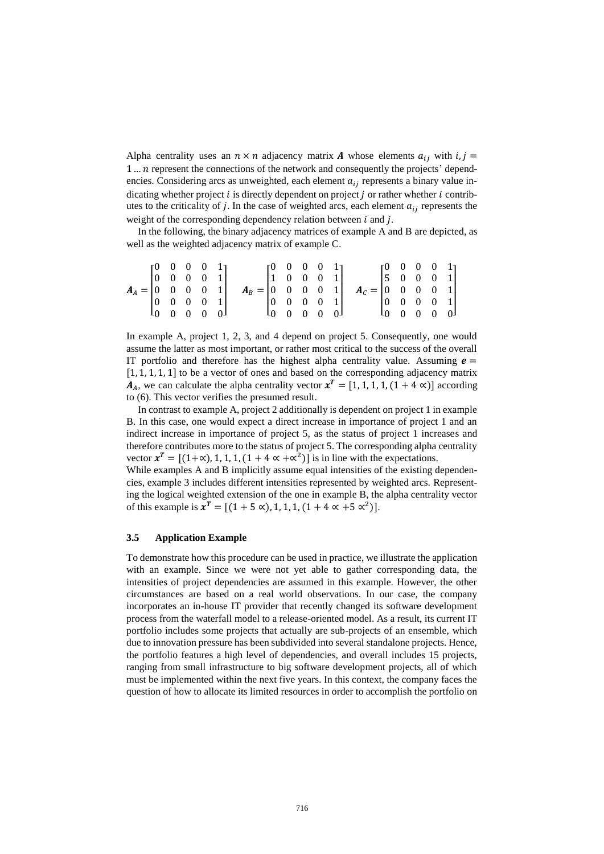Alpha centrality uses an  $n \times n$  adjacency matrix **A** whose elements  $a_{ij}$  with  $i, j =$ 1 ... *n* represent the connections of the network and consequently the projects' dependencies. Considering arcs as unweighted, each element  $a_{ij}$  represents a binary value indicating whether project  $i$  is directly dependent on project  $j$  or rather whether  $i$  contributes to the criticality of j. In the case of weighted arcs, each element  $a_{ij}$  represents the weight of the corresponding dependency relation between  $i$  and  $j$ .

In the following, the binary adjacency matrices of example A and B are depicted, as well as the weighted adjacency matrix of example C.

|                                                         |  | $\begin{bmatrix} 0 & 0 & 0 & 0 & 1 \end{bmatrix}$ |  |                                                         |  | $\begin{bmatrix} 0 & 0 & 0 & 0 & 1 \end{bmatrix}$ |  |                                                         |  | $[0 \ 0 \ 0 \ 0 \ 1]$                             |  |  |
|---------------------------------------------------------|--|---------------------------------------------------|--|---------------------------------------------------------|--|---------------------------------------------------|--|---------------------------------------------------------|--|---------------------------------------------------|--|--|
|                                                         |  | $\begin{bmatrix} 0 & 0 & 0 & 0 & 1 \end{bmatrix}$ |  |                                                         |  | $\begin{bmatrix} 1 & 0 & 0 & 0 & 1 \end{bmatrix}$ |  |                                                         |  | $\begin{bmatrix} 5 & 0 & 0 & 0 & 1 \end{bmatrix}$ |  |  |
| $A_A = \begin{bmatrix} 0 & 0 & 0 & 0 & 1 \end{bmatrix}$ |  |                                                   |  | $A_B = \begin{bmatrix} 0 & 0 & 0 & 0 & 1 \end{bmatrix}$ |  |                                                   |  | $A_c = \begin{bmatrix} 0 & 0 & 0 & 0 & 1 \end{bmatrix}$ |  |                                                   |  |  |
|                                                         |  | $\begin{bmatrix} 0 & 0 & 0 & 0 & 1 \end{bmatrix}$ |  |                                                         |  | $\begin{bmatrix} 0 & 0 & 0 & 0 & 1 \end{bmatrix}$ |  |                                                         |  | $\begin{bmatrix} 0 & 0 & 0 & 0 & 1 \end{bmatrix}$ |  |  |
|                                                         |  | $\begin{bmatrix} 0 & 0 & 0 & 0 & 0 \end{bmatrix}$ |  |                                                         |  | $L_0$ 0 0 0 0 $L_1$                               |  |                                                         |  |                                                   |  |  |

In example A, project 1, 2, 3, and 4 depend on project 5. Consequently, one would assume the latter as most important, or rather most critical to the success of the overall IT portfolio and therefore has the highest alpha centrality value. Assuming  $e =$ [1, 1, 1, 1, 1] to be a vector of ones and based on the corresponding adjacency matrix  $A_A$ , we can calculate the alpha centrality vector  $x^T = [1, 1, 1, 1, (1 + 4 \alpha)]$  according to (6). This vector verifies the presumed result.

In contrast to example A, project 2 additionally is dependent on project 1 in example B. In this case, one would expect a direct increase in importance of project 1 and an indirect increase in importance of project 5, as the status of project 1 increases and therefore contributes more to the status of project 5. The corresponding alpha centrality vector  $x^T = [(1+\alpha), 1, 1, 1, (1+4 \alpha + \alpha^2)]$  is in line with the expectations.

While examples A and B implicitly assume equal intensities of the existing dependencies, example 3 includes different intensities represented by weighted arcs. Representing the logical weighted extension of the one in example B, the alpha centrality vector of this example is  $x^T = [(1 + 5 \alpha), 1, 1, 1, (1 + 4 \alpha + 5 \alpha^2)].$ 

#### **3.5 Application Example**

To demonstrate how this procedure can be used in practice, we illustrate the application with an example. Since we were not yet able to gather corresponding data, the intensities of project dependencies are assumed in this example. However, the other circumstances are based on a real world observations. In our case, the company incorporates an in-house IT provider that recently changed its software development process from the waterfall model to a release-oriented model. As a result, its current IT portfolio includes some projects that actually are sub-projects of an ensemble, which due to innovation pressure has been subdivided into several standalone projects. Hence, the portfolio features a high level of dependencies, and overall includes 15 projects, ranging from small infrastructure to big software development projects, all of which must be implemented within the next five years. In this context, the company faces the question of how to allocate its limited resources in order to accomplish the portfolio on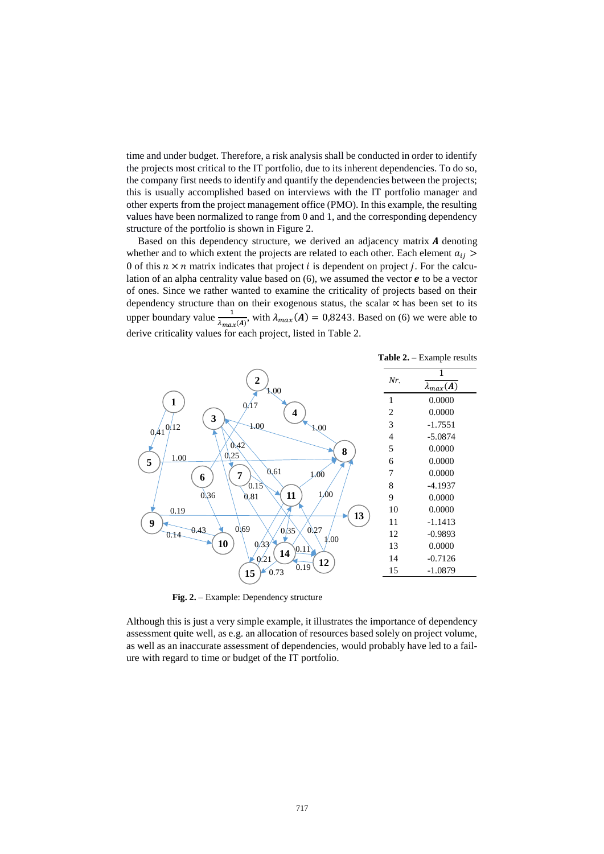time and under budget. Therefore, a risk analysis shall be conducted in order to identify the projects most critical to the IT portfolio, due to its inherent dependencies. To do so, the company first needs to identify and quantify the dependencies between the projects; this is usually accomplished based on interviews with the IT portfolio manager and other experts from the project management office (PMO). In this example, the resulting values have been normalized to range from 0 and 1, and the corresponding dependency structure of the portfolio is shown in Figure 2.

Based on this dependency structure, we derived an adjacency matrix  $\boldsymbol{A}$  denoting whether and to which extent the projects are related to each other. Each element  $a_{ij}$  > 0 of this  $n \times n$  matrix indicates that project *i* is dependent on project *j*. For the calculation of an alpha centrality value based on  $(6)$ , we assumed the vector  $e$  to be a vector of ones. Since we rather wanted to examine the criticality of projects based on their dependency structure than on their exogenous status, the scalar ∝ has been set to its upper boundary value  $\frac{1}{\lambda_{max}(A)}$ , with  $\lambda_{max}(A) = 0.8243$ . Based on (6) we were able to derive criticality values for each project, listed in Table 2.



 **Fig. 2.** – Example: Dependency structure

Although this is just a very simple example, it illustrates the importance of dependency assessment quite well, as e.g. an allocation of resources based solely on project volume, as well as an inaccurate assessment of dependencies, would probably have led to a failure with regard to time or budget of the IT portfolio.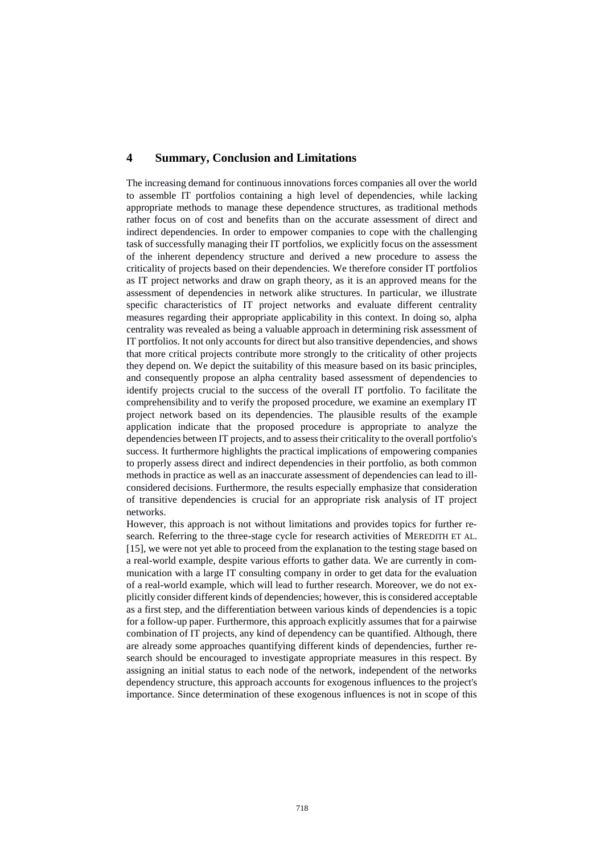# **4 Summary, Conclusion and Limitations**

The increasing demand for continuous innovations forces companies all over the world to assemble IT portfolios containing a high level of dependencies, while lacking appropriate methods to manage these dependence structures, as traditional methods rather focus on of cost and benefits than on the accurate assessment of direct and indirect dependencies. In order to empower companies to cope with the challenging task of successfully managing their IT portfolios, we explicitly focus on the assessment of the inherent dependency structure and derived a new procedure to assess the criticality of projects based on their dependencies. We therefore consider IT portfolios as IT project networks and draw on graph theory, as it is an approved means for the assessment of dependencies in network alike structures. In particular, we illustrate specific characteristics of IT project networks and evaluate different centrality measures regarding their appropriate applicability in this context. In doing so, alpha centrality was revealed as being a valuable approach in determining risk assessment of IT portfolios. It not only accounts for direct but also transitive dependencies, and shows that more critical projects contribute more strongly to the criticality of other projects they depend on. We depict the suitability of this measure based on its basic principles, and consequently propose an alpha centrality based assessment of dependencies to identify projects crucial to the success of the overall IT portfolio. To facilitate the comprehensibility and to verify the proposed procedure, we examine an exemplary IT project network based on its dependencies. The plausible results of the example application indicate that the proposed procedure is appropriate to analyze the dependencies between IT projects, and to assess their criticality to the overall portfolio's success. It furthermore highlights the practical implications of empowering companies to properly assess direct and indirect dependencies in their portfolio, as both common methods in practice as well as an inaccurate assessment of dependencies can lead to illconsidered decisions. Furthermore, the results especially emphasize that consideration of transitive dependencies is crucial for an appropriate risk analysis of IT project networks.

However, this approach is not without limitations and provides topics for further research. Referring to the three-stage cycle for research activities of MEREDITH ET AL. [15], we were not yet able to proceed from the explanation to the testing stage based on a real-world example, despite various efforts to gather data. We are currently in communication with a large IT consulting company in order to get data for the evaluation of a real-world example, which will lead to further research. Moreover, we do not explicitly consider different kinds of dependencies; however, this is considered acceptable as a first step, and the differentiation between various kinds of dependencies is a topic for a follow-up paper. Furthermore, this approach explicitly assumes that for a pairwise combination of IT projects, any kind of dependency can be quantified. Although, there are already some approaches quantifying different kinds of dependencies, further research should be encouraged to investigate appropriate measures in this respect. By assigning an initial status to each node of the network, independent of the networks dependency structure, this approach accounts for exogenous influences to the project's importance. Since determination of these exogenous influences is not in scope of this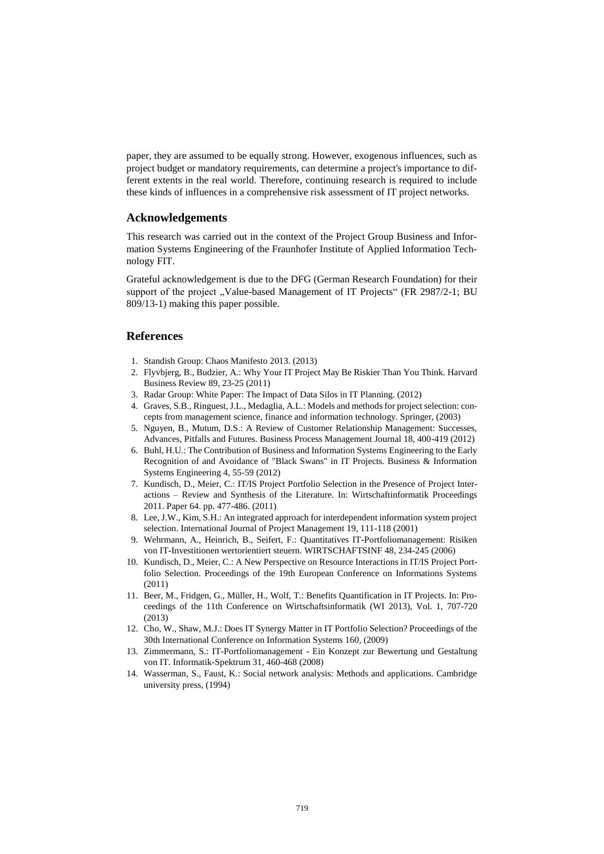paper, they are assumed to be equally strong. However, exogenous influences, such as project budget or mandatory requirements, can determine a project's importance to different extents in the real world. Therefore, continuing research is required to include these kinds of influences in a comprehensive risk assessment of IT project networks.

## **Acknowledgements**

This research was carried out in the context of the Project Group Business and Information Systems Engineering of the Fraunhofer Institute of Applied Information Technology FIT.

Grateful acknowledgement is due to the DFG (German Research Foundation) for their support of the project "Value-based Management of IT Projects" (FR 2987/2-1; BU 809/13-1) making this paper possible.

# **References**

- 1. Standish Group: Chaos Manifesto 2013. (2013)
- 2. Flyvbjerg, B., Budzier, A.: Why Your IT Project May Be Riskier Than You Think. Harvard Business Review 89, 23-25 (2011)
- 3. Radar Group: White Paper: The Impact of Data Silos in IT Planning. (2012)
- 4. Graves, S.B., Ringuest, J.L., Medaglia, A.L.: Models and methods for project selection: concepts from management science, finance and information technology. Springer, (2003)
- 5. Nguyen, B., Mutum, D.S.: A Review of Customer Relationship Management: Successes, Advances, Pitfalls and Futures. Business Process Management Journal 18, 400-419 (2012)
- 6. Buhl, H.U.: The Contribution of Business and Information Systems Engineering to the Early Recognition of and Avoidance of "Black Swans" in IT Projects. Business & Information Systems Engineering 4, 55-59 (2012)
- 7. Kundisch, D., Meier, C.: IT/IS Project Portfolio Selection in the Presence of Project Interactions – Review and Synthesis of the Literature. In: Wirtschaftinformatik Proceedings 2011. Paper 64. pp. 477-486. (2011)
- 8. Lee, J.W., Kim, S.H.: An integrated approach for interdependent information system project selection. International Journal of Project Management 19, 111-118 (2001)
- 9. Wehrmann, A., Heinrich, B., Seifert, F.: Quantitatives IT-Portfoliomanagement: Risiken von IT-Investitionen wertorientiert steuern. WIRTSCHAFTSINF 48, 234-245 (2006)
- 10. Kundisch, D., Meier, C.: A New Perspective on Resource Interactions in IT/IS Project Portfolio Selection. Proceedings of the 19th European Conference on Informations Systems (2011)
- 11. Beer, M., Fridgen, G., Müller, H., Wolf, T.: Benefits Quantification in IT Projects. In: Proceedings of the 11th Conference on Wirtschaftsinformatik (WI 2013), Vol. 1, 707-720 (2013)
- 12. Cho, W., Shaw, M.J.: Does IT Synergy Matter in IT Portfolio Selection? Proceedings of the 30th International Conference on Information Systems 160, (2009)
- 13. Zimmermann, S.: IT-Portfoliomanagement Ein Konzept zur Bewertung und Gestaltung von IT. Informatik-Spektrum 31, 460-468 (2008)
- 14. Wasserman, S., Faust, K.: Social network analysis: Methods and applications. Cambridge university press, (1994)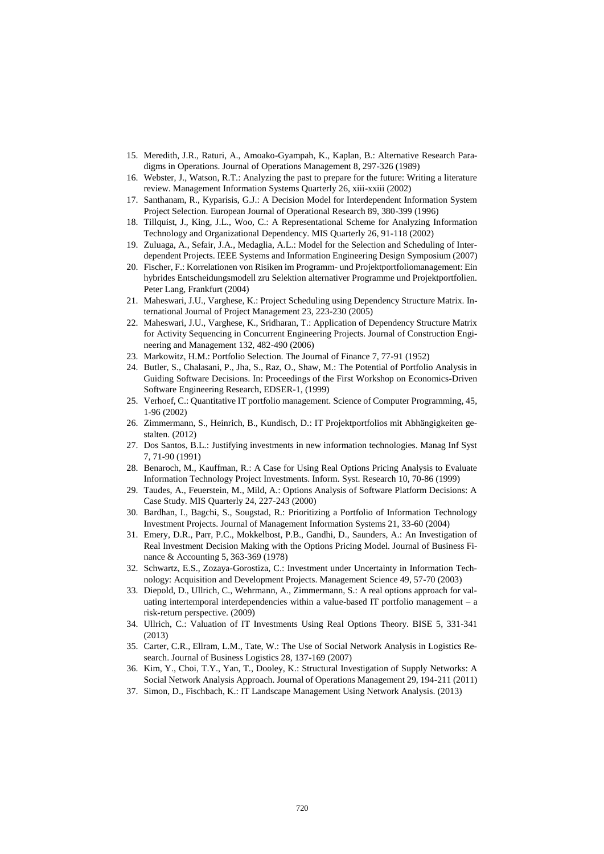- 15. Meredith, J.R., Raturi, A., Amoako-Gyampah, K., Kaplan, B.: Alternative Research Paradigms in Operations. Journal of Operations Management 8, 297-326 (1989)
- 16. Webster, J., Watson, R.T.: Analyzing the past to prepare for the future: Writing a literature review. Management Information Systems Quarterly 26, xiii-xxiii (2002)
- 17. Santhanam, R., Kyparisis, G.J.: A Decision Model for Interdependent Information System Project Selection. European Journal of Operational Research 89, 380-399 (1996)
- 18. Tillquist, J., King, J.L., Woo, C.: A Representational Scheme for Analyzing Information Technology and Organizational Dependency. MIS Quarterly 26, 91-118 (2002)
- 19. Zuluaga, A., Sefair, J.A., Medaglia, A.L.: Model for the Selection and Scheduling of Interdependent Projects. IEEE Systems and Information Engineering Design Symposium (2007)
- 20. Fischer, F.: Korrelationen von Risiken im Programm- und Projektportfoliomanagement: Ein hybrides Entscheidungsmodell zru Selektion alternativer Programme und Projektportfolien. Peter Lang, Frankfurt (2004)
- 21. Maheswari, J.U., Varghese, K.: Project Scheduling using Dependency Structure Matrix. International Journal of Project Management 23, 223-230 (2005)
- 22. Maheswari, J.U., Varghese, K., Sridharan, T.: Application of Dependency Structure Matrix for Activity Sequencing in Concurrent Engineering Projects. Journal of Construction Engineering and Management 132, 482-490 (2006)
- 23. Markowitz, H.M.: Portfolio Selection. The Journal of Finance 7, 77-91 (1952)
- 24. Butler, S., Chalasani, P., Jha, S., Raz, O., Shaw, M.: The Potential of Portfolio Analysis in Guiding Software Decisions. In: Proceedings of the First Workshop on Economics-Driven Software Engineering Research, EDSER-1, (1999)
- 25. Verhoef, C.: Quantitative IT portfolio management. Science of Computer Programming, 45, 1-96 (2002)
- 26. Zimmermann, S., Heinrich, B., Kundisch, D.: IT Projektportfolios mit Abhängigkeiten gestalten. (2012)
- 27. Dos Santos, B.L.: Justifying investments in new information technologies. Manag Inf Syst 7, 71-90 (1991)
- 28. Benaroch, M., Kauffman, R.: A Case for Using Real Options Pricing Analysis to Evaluate Information Technology Project Investments. Inform. Syst. Research 10, 70-86 (1999)
- 29. Taudes, A., Feuerstein, M., Mild, A.: Options Analysis of Software Platform Decisions: A Case Study. MIS Quarterly 24, 227-243 (2000)
- 30. Bardhan, I., Bagchi, S., Sougstad, R.: Prioritizing a Portfolio of Information Technology Investment Projects. Journal of Management Information Systems 21, 33-60 (2004)
- 31. Emery, D.R., Parr, P.C., Mokkelbost, P.B., Gandhi, D., Saunders, A.: An Investigation of Real Investment Decision Making with the Options Pricing Model. Journal of Business Finance & Accounting 5, 363-369 (1978)
- 32. Schwartz, E.S., Zozaya-Gorostiza, C.: Investment under Uncertainty in Information Technology: Acquisition and Development Projects. Management Science 49, 57-70 (2003)
- 33. Diepold, D., Ullrich, C., Wehrmann, A., Zimmermann, S.: A real options approach for valuating intertemporal interdependencies within a value-based IT portfolio management – a risk-return perspective. (2009)
- 34. Ullrich, C.: Valuation of IT Investments Using Real Options Theory. BISE 5, 331-341 (2013)
- 35. Carter, C.R., Ellram, L.M., Tate, W.: The Use of Social Network Analysis in Logistics Research. Journal of Business Logistics 28, 137-169 (2007)
- 36. Kim, Y., Choi, T.Y., Yan, T., Dooley, K.: Structural Investigation of Supply Networks: A Social Network Analysis Approach. Journal of Operations Management 29, 194-211 (2011)
- 37. Simon, D., Fischbach, K.: IT Landscape Management Using Network Analysis. (2013)